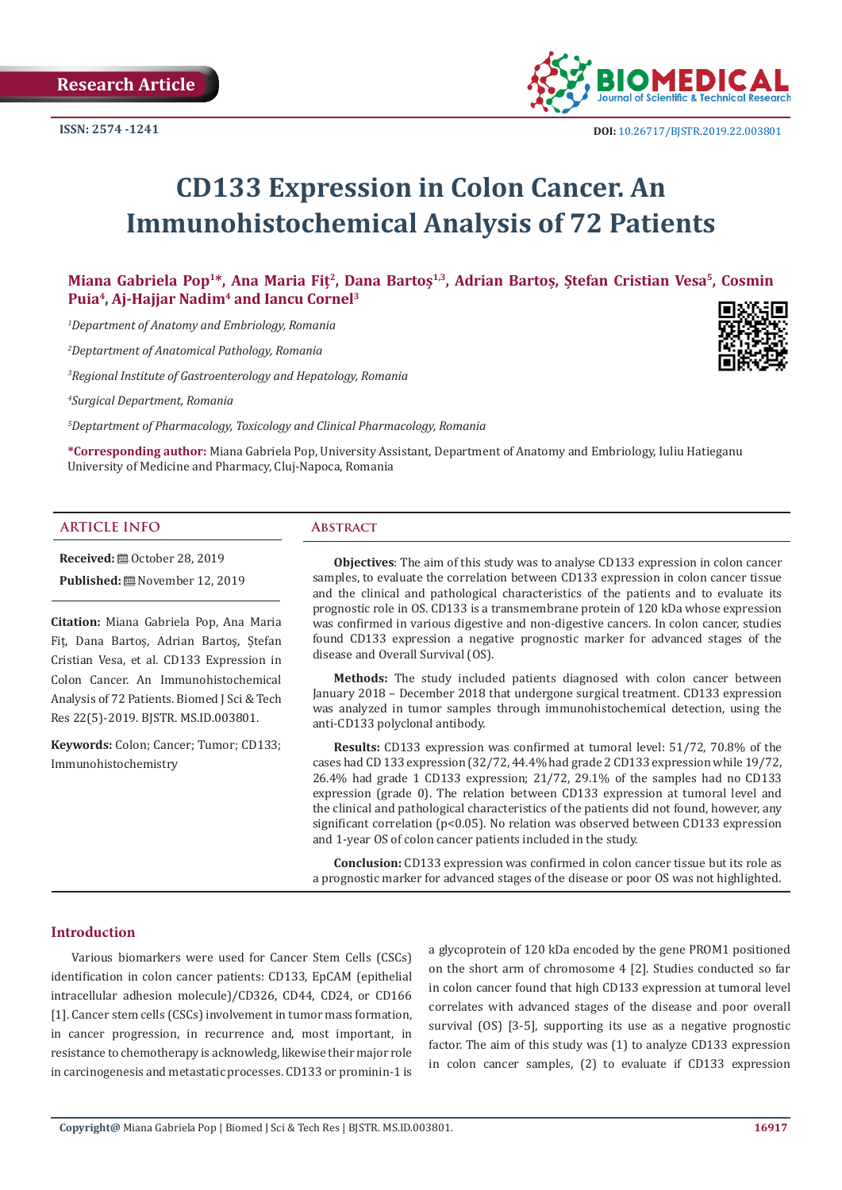

 **DOI:** [10.26717/BJSTR.2019.22.0038](http://dx.doi.org/10.26717/BJSTR.2019.22.003801)01

# **CD133 Expression in Colon Cancer. An Immunohistochemical Analysis of 72 Patients**

**Miana Gabriela Pop1\*, Ana Maria Fiț<sup>2</sup>, Dana Bartoș1,3, Adrian Bartoș, Ștefan Cristian Vesa5, Cosmin Puia4, Aj-Hajjar Nadim4 and Iancu Cornel3**

*1 Department of Anatomy and Embriology, Romania*

*2 Deptartment of Anatomical Pathology, Romania*

*3 Regional Institute of Gastroenterology and Hepatology, Romania*

*4 Surgical Department, Romania*

*5 Deptartment of Pharmacology, Toxicology and Clinical Pharmacology, Romania*

**\*Corresponding author:** Miana Gabriela Pop, University Assistant, Department of Anatomy and Embriology, Iuliu Hatieganu University of Medicine and Pharmacy, Cluj-Napoca, Romania

#### **ARTICLE INFO Abstract**

**Received:** ■ October 28, 2019

**Published:** November 12, 2019

**Citation:** Miana Gabriela Pop, Ana Maria Fiț, Dana Bartoș, Adrian Bartoș, Ștefan Cristian Vesa, et al. CD133 Expression in Colon Cancer. An Immunohistochemical Analysis of 72 Patients. Biomed J Sci & Tech Res 22(5)-2019. BJSTR. MS.ID.003801.

**Keywords:** Colon; Cancer; Tumor; CD133; Immunohistochemistry

**Objectives**: The aim of this study was to analyse CD133 expression in colon cancer samples, to evaluate the correlation between CD133 expression in colon cancer tissue and the clinical and pathological characteristics of the patients and to evaluate its prognostic role in OS. CD133 is a transmembrane protein of 120 kDa whose expression was confirmed in various digestive and non-digestive cancers. In colon cancer, studies found CD133 expression a negative prognostic marker for advanced stages of the disease and Overall Survival (OS).

**Methods:** The study included patients diagnosed with colon cancer between January 2018 – December 2018 that undergone surgical treatment. CD133 expression was analyzed in tumor samples through immunohistochemical detection, using the anti-CD133 polyclonal antibody.

**Results:** CD133 expression was confirmed at tumoral level: 51/72, 70.8% of the cases had CD 133 expression (32/72, 44.4% had grade 2 CD133 expression while 19/72, 26.4% had grade 1 CD133 expression; 21/72, 29.1% of the samples had no CD133 expression (grade 0). The relation between CD133 expression at tumoral level and the clinical and pathological characteristics of the patients did not found, however, any significant correlation (p<0.05). No relation was observed between CD133 expression and 1-year OS of colon cancer patients included in the study.

**Conclusion:** CD133 expression was confirmed in colon cancer tissue but its role as a prognostic marker for advanced stages of the disease or poor OS was not highlighted.

#### **Introduction**

Various biomarkers were used for Cancer Stem Cells (CSCs) identification in colon cancer patients: CD133, EpCAM (epithelial intracellular adhesion molecule)/CD326, CD44, CD24, or CD166 [1]. Cancer stem cells (CSCs) involvement in tumor mass formation, in cancer progression, in recurrence and, most important, in resistance to chemotherapy is acknowledg, likewise their major role in carcinogenesis and metastatic processes. CD133 or prominin-1 is a glycoprotein of 120 kDa encoded by the gene PROM1 positioned on the short arm of chromosome 4 [2]. Studies conducted so far in colon cancer found that high CD133 expression at tumoral level correlates with advanced stages of the disease and poor overall survival (OS) [3-5], supporting its use as a negative prognostic factor. The aim of this study was (1) to analyze CD133 expression in colon cancer samples, (2) to evaluate if CD133 expression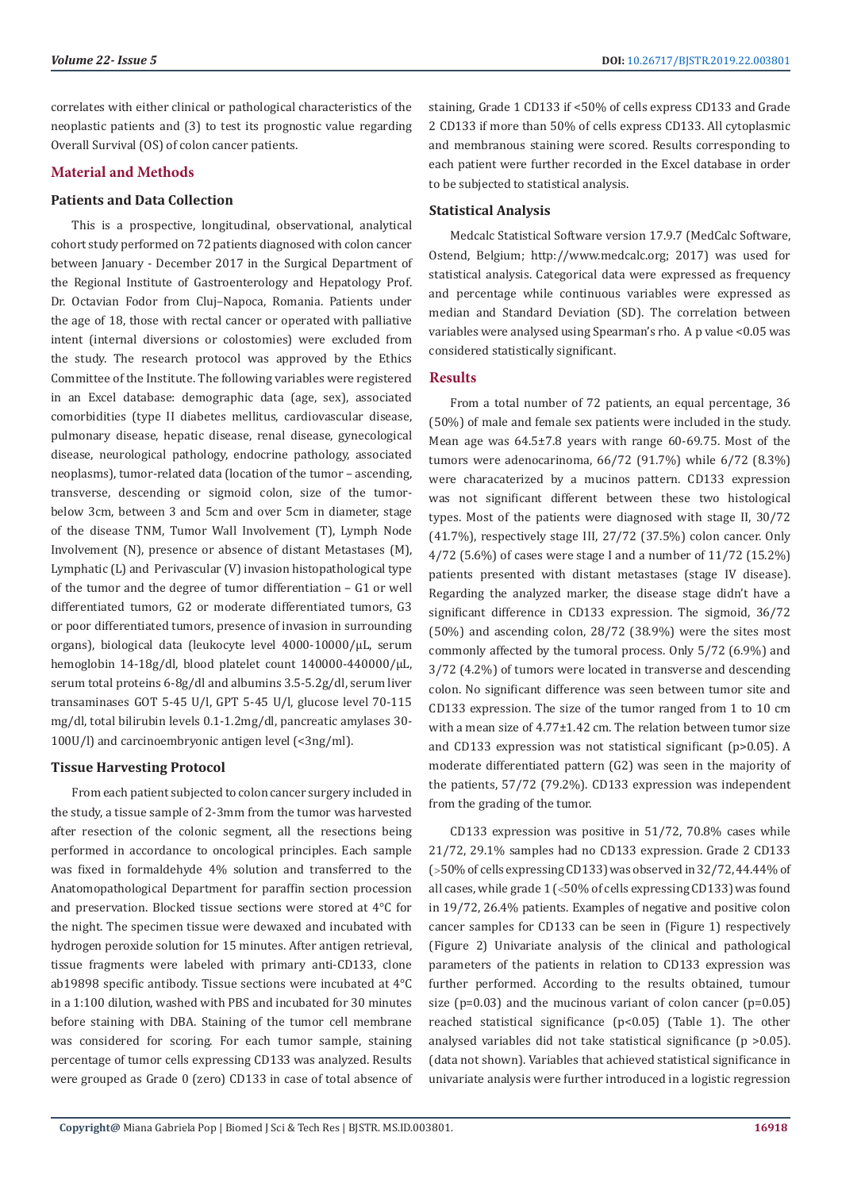correlates with either clinical or pathological characteristics of the neoplastic patients and (3) to test its prognostic value regarding Overall Survival (OS) of colon cancer patients.

## **Material and Methods**

#### **Patients and Data Collection**

This is a prospective, longitudinal, observational, analytical cohort study performed on 72 patients diagnosed with colon cancer between January - December 2017 in the Surgical Department of the Regional Institute of Gastroenterology and Hepatology Prof. Dr. Octavian Fodor from Cluj–Napoca, Romania. Patients under the age of 18, those with rectal cancer or operated with palliative intent (internal diversions or colostomies) were excluded from the study. The research protocol was approved by the Ethics Committee of the Institute. The following variables were registered in an Excel database: demographic data (age, sex), associated comorbidities (type II diabetes mellitus, cardiovascular disease, pulmonary disease, hepatic disease, renal disease, gynecological disease, neurological pathology, endocrine pathology, associated neoplasms), tumor-related data (location of the tumor – ascending, transverse, descending or sigmoid colon, size of the tumorbelow 3cm, between 3 and 5cm and over 5cm in diameter, stage of the disease TNM, Tumor Wall Involvement (T), Lymph Node Involvement (N), presence or absence of distant Metastases (M), Lymphatic (L) and Perivascular (V) invasion histopathological type of the tumor and the degree of tumor differentiation – G1 or well differentiated tumors, G2 or moderate differentiated tumors, G3 or poor differentiated tumors, presence of invasion in surrounding organs), biological data (leukocyte level 4000-10000/µL, serum hemoglobin 14-18g/dl, blood platelet count 140000-440000/µL, serum total proteins 6-8g/dl and albumins 3.5-5.2g/dl, serum liver transaminases GOT 5-45 U/l, GPT 5-45 U/l, glucose level 70-115 mg/dl, total bilirubin levels 0.1-1.2mg/dl, pancreatic amylases 30- 100U/l) and carcinoembryonic antigen level (<3ng/ml).

## **Tissue Harvesting Protocol**

From each patient subjected to colon cancer surgery included in the study, a tissue sample of 2-3mm from the tumor was harvested after resection of the colonic segment, all the resections being performed in accordance to oncological principles. Each sample was fixed in formaldehyde 4% solution and transferred to the Anatomopathological Department for paraffin section procession and preservation. Blocked tissue sections were stored at 4°C for the night. The specimen tissue were dewaxed and incubated with hydrogen peroxide solution for 15 minutes. After antigen retrieval, tissue fragments were labeled with primary anti-CD133, clone ab19898 specific antibody. Tissue sections were incubated at 4°C in a 1:100 dilution, washed with PBS and incubated for 30 minutes before staining with DBA. Staining of the tumor cell membrane was considered for scoring. For each tumor sample, staining percentage of tumor cells expressing CD133 was analyzed. Results were grouped as Grade 0 (zero) CD133 in case of total absence of staining, Grade 1 CD133 if <50% of cells express CD133 and Grade 2 CD133 if more than 50% of cells express CD133. All cytoplasmic and membranous staining were scored. Results corresponding to each patient were further recorded in the Excel database in order to be subjected to statistical analysis.

# **Statistical Analysis**

Medcalc Statistical Software version 17.9.7 (MedCalc Software, Ostend, Belgium; http://www.medcalc.org; 2017) was used for statistical analysis. Categorical data were expressed as frequency and percentage while continuous variables were expressed as median and Standard Deviation (SD). The correlation between variables were analysed using Spearman's rho. A p value <0.05 was considered statistically significant.

#### **Results**

From a total number of 72 patients, an equal percentage, 36 (50%) of male and female sex patients were included in the study. Mean age was 64.5±7.8 years with range 60-69.75. Most of the tumors were adenocarinoma, 66/72 (91.7%) while 6/72 (8.3%) were characaterized by a mucinos pattern. CD133 expression was not significant different between these two histological types. Most of the patients were diagnosed with stage II, 30/72 (41.7%), respectively stage III, 27/72 (37.5%) colon cancer. Only 4/72 (5.6%) of cases were stage I and a number of 11/72 (15.2%) patients presented with distant metastases (stage IV disease). Regarding the analyzed marker, the disease stage didn't have a significant difference in CD133 expression. The sigmoid, 36/72 (50%) and ascending colon, 28/72 (38.9%) were the sites most commonly affected by the tumoral process. Only 5/72 (6.9%) and 3/72 (4.2%) of tumors were located in transverse and descending colon. No significant difference was seen between tumor site and CD133 expression. The size of the tumor ranged from 1 to 10 cm with a mean size of 4.77±1.42 cm. The relation between tumor size and CD133 expression was not statistical significant (p>0.05). A moderate differentiated pattern (G2) was seen in the majority of the patients, 57/72 (79.2%). CD133 expression was independent from the grading of the tumor.

CD133 expression was positive in 51/72, 70.8% cases while 21/72, 29.1% samples had no CD133 expression. Grade 2 CD133 (50% of cells expressing CD133) was observed in 32/72, 44.44% of all cases, while grade  $1$  (<50% of cells expressing CD133) was found in 19/72, 26.4% patients. Examples of negative and positive colon cancer samples for CD133 can be seen in (Figure 1) respectively (Figure 2) Univariate analysis of the clinical and pathological parameters of the patients in relation to CD133 expression was further performed. According to the results obtained, tumour size ( $p=0.03$ ) and the mucinous variant of colon cancer ( $p=0.05$ ) reached statistical significance (p<0.05) (Table 1). The other analysed variables did not take statistical significance (p >0.05). (data not shown). Variables that achieved statistical significance in univariate analysis were further introduced in a logistic regression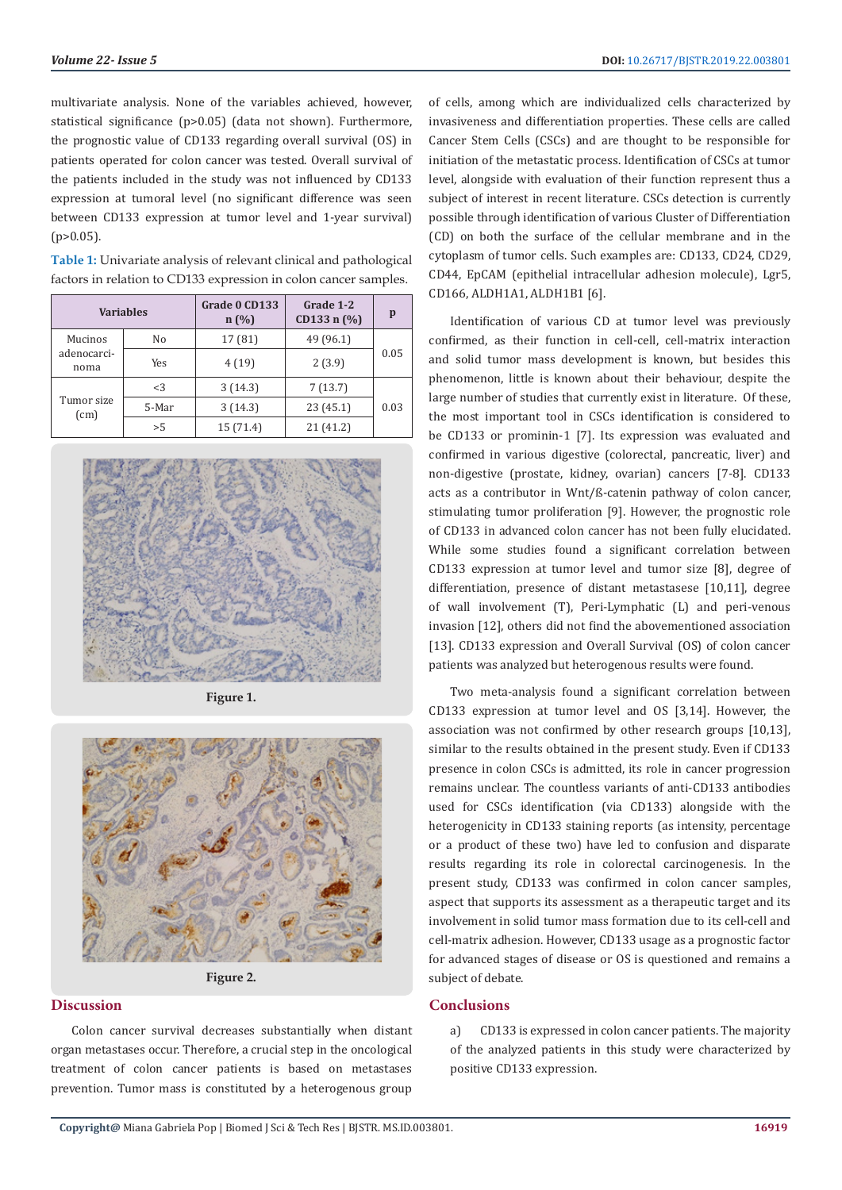multivariate analysis. None of the variables achieved, however, statistical significance (p>0.05) (data not shown). Furthermore, the prognostic value of CD133 regarding overall survival (OS) in patients operated for colon cancer was tested. Overall survival of the patients included in the study was not influenced by CD133 expression at tumoral level (no significant difference was seen between CD133 expression at tumor level and 1-year survival)  $(p>0.05)$ .

**Table 1:** Univariate analysis of relevant clinical and pathological factors in relation to CD133 expression in colon cancer samples.

| <b>Variables</b>               |       | Grade 0 CD133<br>n(%) | Grade 1-2<br>CD133 n $(\% )$ | p    |
|--------------------------------|-------|-----------------------|------------------------------|------|
| Mucinos<br>adenocarci-<br>noma | No    | 17 (81)               | 49 (96.1)                    | 0.05 |
|                                | Yes   | 4(19)                 | 2(3.9)                       |      |
| Tumor size<br>(cm)             | <3    | 3(14.3)               | 7(13.7)                      | 0.03 |
|                                | 5-Mar | 3(14.3)               | 23(45.1)                     |      |
|                                | > 5   | 15 (71.4)             | 21 (41.2)                    |      |



**Figure 1.**



**Figure 2.**

# **Discussion**

Colon cancer survival decreases substantially when distant organ metastases occur. Therefore, a crucial step in the oncological treatment of colon cancer patients is based on metastases prevention. Tumor mass is constituted by a heterogenous group of cells, among which are individualized cells characterized by invasiveness and differentiation properties. These cells are called Cancer Stem Cells (CSCs) and are thought to be responsible for initiation of the metastatic process. Identification of CSCs at tumor level, alongside with evaluation of their function represent thus a subject of interest in recent literature. CSCs detection is currently possible through identification of various Cluster of Differentiation (CD) on both the surface of the cellular membrane and in the cytoplasm of tumor cells. Such examples are: CD133, CD24, CD29, CD44, EpCAM (epithelial intracellular adhesion molecule), Lgr5, CD166, ALDH1A1, ALDH1B1 [6].

Identification of various CD at tumor level was previously confirmed, as their function in cell-cell, cell-matrix interaction and solid tumor mass development is known, but besides this phenomenon, little is known about their behaviour, despite the large number of studies that currently exist in literature. Of these, the most important tool in CSCs identification is considered to be CD133 or prominin-1 [7]. Its expression was evaluated and confirmed in various digestive (colorectal, pancreatic, liver) and non-digestive (prostate, kidney, ovarian) cancers [7-8]. CD133 acts as a contributor in Wnt/ß-catenin pathway of colon cancer, stimulating tumor proliferation [9]. However, the prognostic role of CD133 in advanced colon cancer has not been fully elucidated. While some studies found a significant correlation between CD133 expression at tumor level and tumor size [8], degree of differentiation, presence of distant metastasese [10,11], degree of wall involvement (T), Peri-Lymphatic (L) and peri-venous invasion [12], others did not find the abovementioned association [13]. CD133 expression and Overall Survival (OS) of colon cancer patients was analyzed but heterogenous results were found.

Two meta-analysis found a significant correlation between CD133 expression at tumor level and OS [3,14]. However, the association was not confirmed by other research groups [10,13], similar to the results obtained in the present study. Even if CD133 presence in colon CSCs is admitted, its role in cancer progression remains unclear. The countless variants of anti-CD133 antibodies used for CSCs identification (via CD133) alongside with the heterogenicity in CD133 staining reports (as intensity, percentage or a product of these two) have led to confusion and disparate results regarding its role in colorectal carcinogenesis. In the present study, CD133 was confirmed in colon cancer samples, aspect that supports its assessment as a therapeutic target and its involvement in solid tumor mass formation due to its cell-cell and cell-matrix adhesion. However, CD133 usage as a prognostic factor for advanced stages of disease or OS is questioned and remains a subject of debate.

## **Conclusions**

a) CD133 is expressed in colon cancer patients. The majority of the analyzed patients in this study were characterized by positive CD133 expression.